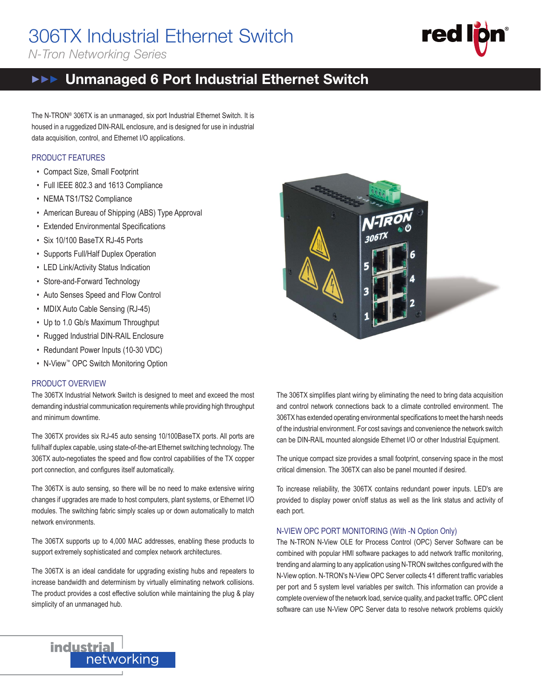# 306TX Industrial Ethernet Switch

*N-Tron Networking Series*



#### ${\sf width}$  $\mathsf{itch}(\mathcal{C}) = \mathsf{ch}(\mathcal{C})$ Unmanaged 6 Port Industrial Ethernet Switch  $\blacktriangleright \blacktriangleright \blacktriangleright$

The N-TRON® 306TX is an unmanaged, six port Industrial Ethernet Switch. It is The N-TRON® 306TX is an unmanaged, six port Industrial Ethernet Switch. It is housed in a ruggedized DIN-RAIL enclosure, and is designed for use in industrial housed in a ruggedized DIN-RAIL enclosure, and is designed for use in industrial data acquisition, control, and Ethernet I/O applications. data acquisition, control, and Ethernet I/O applications.

### PRODUCT FEATURES PRODUCT FEATURES

- Compact Size, Small Footprint
- Full IEEE 802.3 and 1613 Compliance data acquisition, control, and Ethernet I/O applications.
- NEMA TS1/TS2 Compliance NEMA TS1/TS2 Compliance
- American Bureau of Shipping (ABS) Type Approval
- Extended Environmental Specifications
- Six 10/100 BaseTX RJ-45 Ports
- Supports Full/Half Duplex Operation
- LED Link/Activity Status Indication
- Store-and-Forward Technology
- Auto Senses Speed and Flow Control
- MDIX Auto Cable Sensing (RJ-45)
- Up to 1.0 Gb/s Maximum Throughput
- Rugged Industrial DIN-RAIL Enclosure
- Redundant Power Inputs (10-30 VDC)
- N-View™ OPC Switch Monitoring Option

### PRODUCT OVERVIEW PRODUCT OVERVIEW

 $\overline{1}$  The 306TX Industrial Network Switch is designed to meet and exceed the most demanding industrial communication requirements while providing high throughput and minimum downtime.

The 306TX provides six RJ-45 auto sensing 10/100BaseTX ports. All ports are full/half duplex capable, using state-of-the-art Ethernet switching technology. The 306TX auto-negotiates the speed and flow control capabilities of the TX copper port connection, and configures itself automatically.

The 306TX is auto sensing, so there will be no need to make extensive wiring changes if upgrades are made to host computers, plant systems, or Ethernet I/O modules. The switching fabric simply scales up or down automatically to match network environments.

The 306TX supports up to 4,000 MAC addresses, enabling these products to support extremely sophisticated and complex network architectures.

The 306TX is an ideal candidate for upgrading existing hubs and repeaters to increase bandwidth and determinism by virtually eliminating network collisions. increase bandwidth and determinism by virtually eliminating network collisions. The product provides a cost effective solution while maintaining the plug & play simplicity of an unmanaged hub. network is an ideal



The 306TX simplifies plant wiring by eliminating the need to bring data acquisition and control network connections back to a climate controlled environment. The and control network connections back to a climate controlled environment. The 306TX has extended operating environmental specifications to meet the harsh needs of the industrial environment. For cost savings and convenience the network switch can be DIN-RAIL mounted alongside Ethernet I/O or other Industrial Equipment. can be DIN-RAIL mounted alongside Ethernet I/O or other Industrial Equipment.

The unique compact size provides a small footprint, conserving space in the most critical dimension. The 306TX can also be panel mounted if desired.

To increase reliability, the 306TX contains redundant power inputs. LED's are provided to display power on/off status as well as the link status and activity of provided to display power on/off status as well as the link status and activity of each port. each port. can be Dinamity, the DUDIX contains redundant power inputs. ELD's  $\epsilon$ ach port.  $\epsilon$  small footprint, compact size  $\epsilon$  small for most  $\epsilon$  in the most  $\epsilon$ 

### N-VIEW OPC PORT MONITORING (With -N Option Only) N-VIEW OPC PORT MONITORING (With -N Option Only)

The N-TRON N-View OLE for Process Control (OPC) Server Software can be combined with popular HMI software packages to add network traffic monitoring,<br>trending and alarming to any application using N-TRON switches configured with the trending and alarming to any application using N-TRON switches configured with the N-View option. N-TRON's N-View OPC Server collects 41 different traffic variables per port and 5 system level variables per switch. This information can provide a complete overview of the network load, service quality, and packet traffic. OPC client software can use N-View OPC Server data to resolve network problems quickly

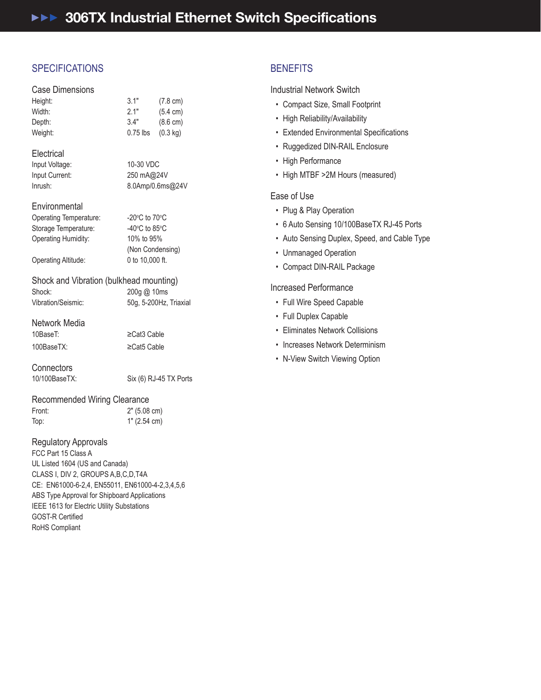# **SPECIFICATIONS**

|  | <b>Case Dimensions</b> |
|--|------------------------|
|  |                        |

| Height: | 3.1"       | $(7.8 \text{ cm})$ |
|---------|------------|--------------------|
| Width:  | 2.1"       | $(5.4 \text{ cm})$ |
| Depth:  | 3.4"       | $(8.6 \text{ cm})$ |
| Weight: | $0.75$ lbs | $(0.3 \text{ kg})$ |
|         |            |                    |

### Electrical Electrical

| Input Voltage: | 10-30 VDC  |
|----------------|------------|
| Input Current: | 250 mA@2   |
| Inrush:        | 8.0Amp/0.6 |

| Electrical     |                  |
|----------------|------------------|
| Input Voltage: | 10-30 VDC        |
| Input Current: | 250 mA@24V       |
| Inrush:        | 8.0Amp/0.6ms@24V |
|                |                  |

### Environmental Environmental

| <b>Operating Temperature:</b> | $-20^{\circ}$ C to 70 $^{\circ}$ C |
|-------------------------------|------------------------------------|
| Storage Temperature:          | -40 $\degree$ C to 85 $\degree$ C  |
| Operating Humidity:           | 10% to 95%                         |
|                               | (Non Condensing)                   |
| Operating Altitude:           | 0 to 10,000 ft.                    |

## Shock and Vibration (bulkhead mounting) Shock and Vibration (bulkhead mounting) Shock: 200g @ 10ms Shock: 200g @ 10ms Vibration/Seismic: 50g, 5-200Hz, Triaxial Vibration/Seismic: 50g, 5-200Hz, Triaxial

# Network Media Network Media

| 10BaseT:   | $\geq$ Cat <sub>3</sub> Cable |
|------------|-------------------------------|
| 100BaseTX: | $\geq$ Cat5 Cable             |

# Connectors Connectors

10/100BaseTX: Six (6) RJ-45 TX Ports 10/100BaseTX: Six (6) RJ-45 TX Ports

## Recommended Wiring Clearance Recommended Wiring Clearance

Front: 2" (5.08 cm) Front: 2" (5.08 cm) Top: 1" (2.54 cm) Top: 1" (2.54 cm)

### Regulatory Approvals Regulatory Approvals

FCC Part 15 Class A FCC Part 15 Class A UL Listed 1604 (US and Canada) UL Listed 1604 (US and Canada) CLASS I, DIV 2, GROUPS A,B,C,D,T4A CLASS I, DIV 2, GROUPS A,B,C,D,T4A CE: EN61000-6-2,4, EN55011, EN61000-4-2,3,4,5,6 CE: EN61000-6-2,4, EN55011, EN61000-4-2,3,4,5,6 ABS Type Approval for Shipboard Applications ABS Type Approval for Shipboard Applications IEEE 1613 for Electric Utility Substations IEEE 1613 for Electric Utility Substations GOST-R Certified RoHS Compliant RoHS Compliant

# BENEFITS BENEFITS

Industrial Network Switch Industrial Network Switch

- Compact Size, Small Footprint Compact Size, Small Footprint
- High Reliability/Availability High Reliability/Availability
- Extended Environmental Specifications
- Ruggedized DIN-RAIL Enclosure Ruggedized DIN-RAIL Enclosure
- High Performance High Performance
- High MTBF >2M Hours (measured) High MTBF >2M Hours (measured)

### Ease of Use Ease of Use

- Plug & Play Operation Plug & Play Operation
- 6 Auto Sensing 10/100BaseTX RJ-45 Ports 6 Auto Sensing 10/100BaseTX RJ-45 Ports
- Auto Sensing Duplex, Speed, and Cable Type Auto Sensing Duplex, Speed, and Cable Type
- Unmanaged Operation Unmanaged Operation
- Compact DIN-RAIL Package Compact DIN-RAIL Package

### Increased Performance Increased Performance

- Full Wire Speed Capable Full Wire Speed Capable
- Full Duplex Capable Full Duplex Capable
- Eliminates Network Collisions Eliminates Network Collisions
- Increases Network Determinism Increases Network Determinism
- N-View Switch Viewing Option N-View Switch Viewing Option